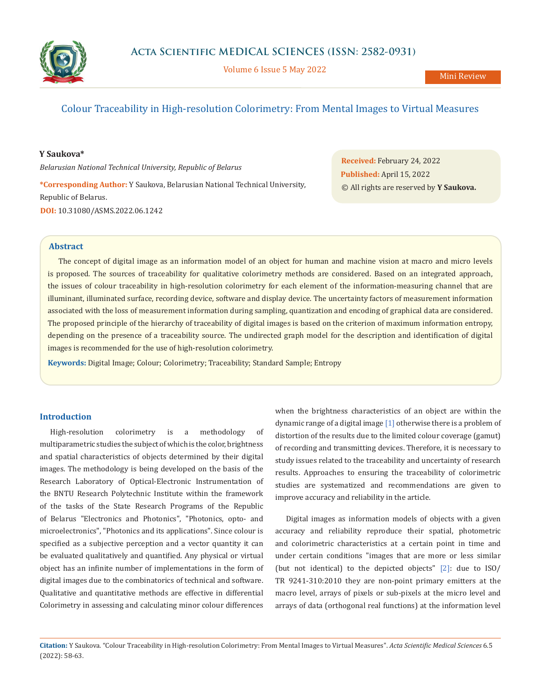

Volume 6 Issue 5 May 2022

# Colour Traceability in High-resolution Colorimetry: From Mental Images to Virtual Measures

## **Y Saukova\***

*Belarusian National Technical University, Republic of Belarus*

**\*Corresponding Author:** Y Saukova, Belarusian National Technical University, Republic of Belarus. **DOI:** [10.31080/ASMS.2022.06.1242](https://actascientific.com/ASMS/pdf/ASMS-06-1242.pdf)

**Received:** February 24, 2022 **Published:** April 15, 2022 © All rights are reserved by **Y Saukova.**

## **Abstract**

The concept of digital image as an information model of an object for human and machine vision at macro and micro levels is proposed. The sources of traceability for qualitative colorimetry methods are considered. Based on an integrated approach, the issues of colour traceability in high-resolution colorimetry for each element of the information-measuring channel that are illuminant, illuminated surface, recording device, software and display device. The uncertainty factors of measurement information associated with the loss of measurement information during sampling, quantization and encoding of graphical data are considered. The proposed principle of the hierarchy of traceability of digital images is based on the criterion of maximum information entropy, depending on the presence of a traceability source. The undirected graph model for the description and identification of digital images is recommended for the use of high-resolution colorimetry.

**Keywords:** Digital Image; Colour; Colorimetry; Traceability; Standard Sample; Entropy

# **Introduction**

High-resolution colorimetry is a methodology of multiparametric studies the subject of which is the color, brightness and spatial characteristics of objects determined by their digital images. The methodology is being developed on the basis of the Research Laboratory of Optical-Electronic Instrumentation of the BNTU Research Polytechnic Institute within the framework of the tasks of the State Research Programs of the Republic of Belarus "Electronics and Photonics", "Photonics, opto- and microelectronics", "Photonics and its applications". Since colour is specified as a subjective perception and a vector quantity it can be evaluated qualitatively and quantified. Any physical or virtual object has an infinite number of implementations in the form of digital images due to the combinatorics of technical and software. Qualitative and quantitative methods are effective in differential Colorimetry in assessing and calculating minor colour differences when the brightness characteristics of an object are within the dynamic range of a digital image [1] otherwise there is a problem of distortion of the results due to the limited colour coverage (gamut) of recording and transmitting devices. Therefore, it is necessary to study issues related to the traceability and uncertainty of research results. Approaches to ensuring the traceability of colorimetric studies are systematized and recommendations are given to improve accuracy and reliability in the article.

Digital images as information models of objects with a given accuracy and reliability reproduce their spatial, photometric and colorimetric characteristics at a certain point in time and under certain conditions "images that are more or less similar (but not identical) to the depicted objects" [2]: due to ISO/ TR 9241-310:2010 they are non-point primary emitters at the macro level, arrays of pixels or sub-pixels at the micro level and arrays of data (orthogonal real functions) at the information level

**Citation:** Y Saukova*.* "Colour Traceability in High-resolution Colorimetry: From Mental Images to Virtual Measures". *Acta Scientific Medical Sciences* 6.5 (2022): 58-63.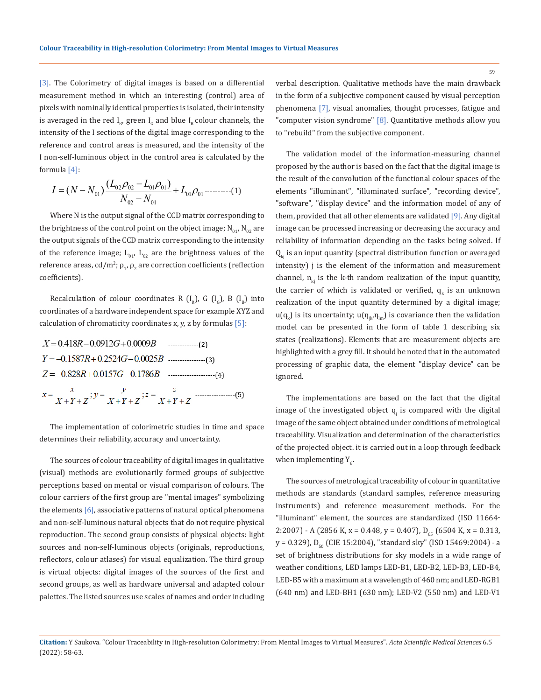[3]. The Colorimetry of digital images is based on a differential measurement method in which an interesting (control) area of pixels with nominally identical properties is isolated, their intensity is averaged in the red  $I_{R}$ , green  $I_{G}$  and blue  $I_{R}$  colour channels, the intensity of the I sections of the digital image corresponding to the reference and control areas is measured, and the intensity of the I non-self-luminous object in the control area is calculated by the formula [4]:

$$
I = (N - N_{01}) \frac{(L_{02} \rho_{02} - L_{01} \rho_{01})}{N_{02} - N_{01}} + L_{01} \rho_{01} \dots \dots \dots \dots (1)
$$

Where N is the output signal of the CCD matrix corresponding to the brightness of the control point on the object image;  $N_{01}$ ,  $N_{02}$  are the output signals of the CCD matrix corresponding to the intensity of the reference image;  $L_{01}$ ,  $L_{02}$  are the brightness values of the reference areas, cd/m²;  $\rho_1$ ,  $\rho_2$  are correction coefficients (reflection coefficients).

Recalculation of colour coordinates R  $(I_{R})$ , G  $(I_{C})$ , B  $(I_{R})$  into coordinates of a hardware independent space for example XYZ and calculation of chromaticity coordinates x, y, z by formulas  $[5]$ :

The implementation of colorimetric studies in time and space determines their reliability, accuracy and uncertainty.

The sources of colour traceability of digital images in qualitative (visual) methods are evolutionarily formed groups of subjective perceptions based on mental or visual comparison of colours. The colour carriers of the first group are "mental images" symbolizing the elements  $[6]$ , associative patterns of natural optical phenomena and non-self-luminous natural objects that do not require physical reproduction. The second group consists of physical objects: light sources and non-self-luminous objects (originals, reproductions, reflectors, colour atlases) for visual equalization. The third group is virtual objects: digital images of the sources of the first and second groups, as well as hardware universal and adapted colour palettes. The listed sources use scales of names and order including verbal description. Qualitative methods have the main drawback in the form of a subjective component caused by visual perception phenomena [7], visual anomalies, thought processes, fatigue and

The validation model of the information-measuring channel proposed by the author is based on the fact that the digital image is the result of the convolution of the functional colour spaces of the elements "illuminant", "illuminated surface", "recording device", "software", "display device" and the information model of any of them, provided that all other elements are validated [9]. Any digital image can be processed increasing or decreasing the accuracy and reliability of information depending on the tasks being solved. If  $Q_{k,i}$  is an input quantity (spectral distribution function or averaged intensity) j is the element of the information and measurement channel,  $n_{ki}$  is the k-th random realization of the input quantity, the carrier of which is validated or verified,  $q_{k}$  is an unknown realization of the input quantity determined by a digital image;  $\mathfrak{u}(\mathfrak{q}_k)$  is its uncertainty;  $\mathfrak{u}(\mathfrak{y}_{jk}\eta_{lm})$  is covariance then the validation model can be presented in the form of table 1 describing six states (realizations). Elements that are measurement objects are highlighted with a grey fill. It should be noted that in the automated processing of graphic data, the element "display device" can be ignored.

"computer vision syndrome" [8]. Quantitative methods allow you

to "rebuild" from the subjective component.

The implementations are based on the fact that the digital image of the investigated object  $q_j$  is compared with the digital image of the same object obtained under conditions of metrological traceability. Visualization and determination of the characteristics of the projected object. it is carried out in a loop through feedback when implementing Y<sub>6</sub>.

The sources of metrological traceability of colour in quantitative methods are standards (standard samples, reference measuring instruments) and reference measurement methods. For the "illuminant" element, the sources are standardized (ISO 11664- 2:2007) - A (2856 K, x = 0.448, y = 0.407),  $D_{65}$  (6504 K, x = 0.313,  $y = 0.329$ ),  $D_{50}$  (CIE 15:2004), "standard sky" (ISO 15469:2004) - a set of brightness distributions for sky models in a wide range of weather conditions, LED lamps LED-B1, LED-B2, LED-B3, LED-B4, LED-B5 with a maximum at a wavelength of 460 nm; and LED-RGB1 (640 nm) and LED-BH1 (630 nm); LED-V2 (550 nm) and LED-V1

**Citation:** Y Saukova*.* "Colour Traceability in High-resolution Colorimetry: From Mental Images to Virtual Measures". *Acta Scientific Medical Sciences* 6.5 (2022): 58-63.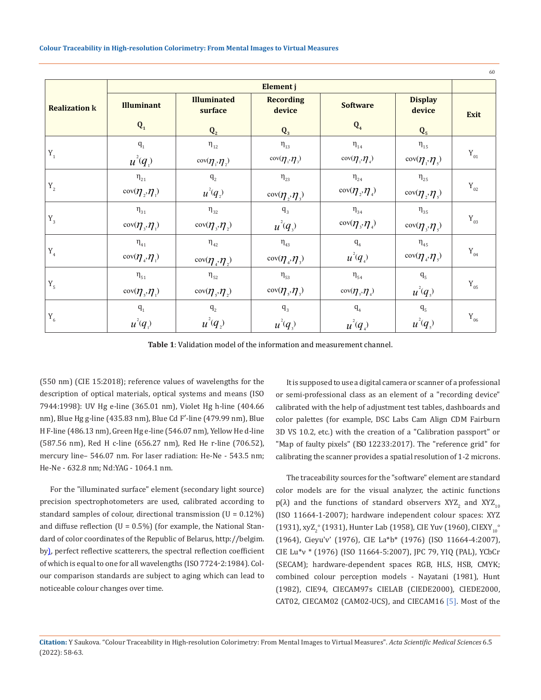|                      |                                                        |                                                                   |                                                                         |                                     |                                                               | 60                         |  |
|----------------------|--------------------------------------------------------|-------------------------------------------------------------------|-------------------------------------------------------------------------|-------------------------------------|---------------------------------------------------------------|----------------------------|--|
| <b>Realization k</b> | <b>Illuminant</b>                                      | <b>Illuminated</b><br>surface                                     | Element j<br><b>Recording</b><br>device                                 | <b>Software</b>                     | <b>Display</b><br>device                                      | Exit                       |  |
|                      | $\mathbf{Q}_1$                                         | $\mathbf{Q}_2$                                                    | $\mathbf{Q}_3$                                                          | $\mathbf{Q}_4$                      | $Q_5$                                                         |                            |  |
|                      | $q_1$                                                  | $\eta_{12}$                                                       | $\eta_{\scriptscriptstyle{13}}$                                         | $\eta_{14}$                         | $\eta_{\scriptscriptstyle{15}}$                               |                            |  |
| $Y_1$                | $u^2(q_1)$                                             | $\operatorname{cov}(\boldsymbol{\eta}_{1},\boldsymbol{\eta}_{2})$ | $\text{cov}(\boldsymbol{\eta}_{1},\boldsymbol{\eta}_{3})$               | $\cos(\eta_1, \eta_4)$              | $\text{cov}(\boldsymbol{\eta}_{1},\boldsymbol{\eta}_{5})$     | $\mathbf{Y}_{\mathbf{01}}$ |  |
|                      | $\eta_{21}$                                            | $q_{2}$                                                           | $\eta_{23}$                                                             | $\eta_{24}$                         | $\eta_{25}$                                                   |                            |  |
| $Y_2$                | $\cos(\eta_2, \eta_1)$                                 | $u^2(q)$                                                          | $\cos(\eta_2, \eta_3)$                                                  | $\cos(\eta_{2},\eta_{4})$           | $\operatorname{cov}(\boldsymbol{\eta}_2,\boldsymbol{\eta}_3)$ | $\mathbf{Y}_{\mathrm{02}}$ |  |
|                      | $\eta_{31}$                                            | $\eta_{32}$                                                       | $q_{3}$                                                                 | $\eta_{34}$                         | $\eta_{35}$                                                   |                            |  |
| $Y_3$                | $cov(\eta, \eta)$                                      | $\cos(\eta, \eta)$                                                | $u^2(q)$                                                                | $\cos(\eta_{\alpha},\eta_{\alpha})$ | $\cos(\eta, \eta)$                                            | ${\rm Y}_{_{03}}$          |  |
|                      | $\eta_{\scriptscriptstyle 41}$                         | $\eta_{\scriptscriptstyle 42}$                                    | $\eta_{\scriptscriptstyle 43}$                                          | q <sub>4</sub>                      | $\eta_{45}$                                                   |                            |  |
| $Y_4$                | $\text{cov}(\boldsymbol{\eta}_4, \boldsymbol{\eta}_1)$ | $\cos(\eta_4, \eta_2)$                                            | $\cos(\eta_4, \eta_3)$                                                  | $u^2(q)$                            | $\cos(\eta_4, \eta_5)$                                        | $\mathbf{Y}_{\mathrm{04}}$ |  |
| $Y_{5}$              | $\eta_{51}$                                            | $\eta_{52}$                                                       | $\eta_{53}$                                                             | $\eta_{54}$                         | $q_{5}$                                                       | $\mathbf{Y}_{\mathbf{0}5}$ |  |
|                      | $\cos(\eta_{s},\eta_{1})$                              | $\cos(\eta_{s},\eta_{s})$                                         | $\cos(\eta_{\scriptscriptstyle\gamma},\eta_{\scriptscriptstyle\gamma})$ | $\cos(\eta_{s},\eta_{4})$           | $u^2(q)$                                                      |                            |  |
|                      | $q_1$                                                  | $q_{2}$                                                           | $q_{3}$                                                                 | $q_{4}$                             | $\mathbf{q}_5$                                                |                            |  |
| $Y_6$                | $u^2(q)$                                               | $u^2(q_2)$                                                        | $u^2(q)$                                                                | $u^2(q)$                            | $u^2(q)$                                                      | $\mathbf{Y}_{06}$          |  |

**Table 1**: Validation model of the information and measurement channel.

(550 nm) (CIE 15:2018); reference values of wavelengths for the description of optical materials, optical systems and means (ISO 7944:1998): UV Hg e-line (365.01 nm), Violet Hg h-line (404.66 nm), Blue Hg g-line (435.83 nm), Blue Cd F′-line (479.99 nm), Blue H F-line (486.13 nm), Green Hg e-line (546.07 nm), Yellow He d-line (587.56 nm), Red H c-line (656.27 nm), Red He r-line (706.52), mercury line– 546.07 nm. For laser radiation: He-Ne - 543.5 nm; He-Ne - 632.8 nm; Nd:YAG - 1064.1 nm.

For the "illuminated surface" element (secondary light source) precision spectrophotometers are used, calibrated according to standard samples of colour, directional transmission  $(U = 0.12\%)$ and diffuse reflection  $(U = 0.5\%)$  (for example, the National Standard of color coordinates of the Republic of Belarus, http://belgim. by), perfect reflective scatterers, the spectral reflection coefficient of which is equal to one for all wavelengths (ISO 7724-2:1984). Colour comparison standards are subject to aging which can lead to noticeable colour changes over time.

It is supposed to use a digital camera or scanner of a professional or semi-professional class as an element of a "recording device" calibrated with the help of adjustment test tables, dashboards and color palettes (for example, DSC Labs Cam Align CDM Fairburn 3D VS 10.2, etc.) with the creation of a "Calibration passport" or "Map of faulty pixels" (ISO 12233:2017). The "reference grid" for calibrating the scanner provides a spatial resolution of 1-2 microns.

The traceability sources for the "software" element are standard color models are for the visual analyzer, the actinic functions  $p(\lambda)$  and the functions of standard observers XYZ<sub>2</sub> and XYZ<sub>10</sub> (ISO 11664-1-2007); hardware independent colour spaces: XYZ (1931), xyZ<sub>2</sub>° (1931), Hunter Lab (1958), CIE Yuv (1960), CIEXY<sub>10</sub>° (1964), Cieyu'v' (1976), CIE La\*b\* (1976) (ISO 11664-4:2007), CIE Lu\*ν \* (1976) (ISO 11664-5:2007), JРС 79, YIQ (PAL), YCbCr (SECAM); hardware-dependent spaces RGB, HLS, HSB, CMYK; combined colour perception models - Nayatani (1981), Hunt (1982), CIE94, CIECAM97s CIELAB (CIEDE2000), CIEDE2000, CAT02, CIECAM02 (CAM02-UCS), and CIECAM16 [5]. Most of the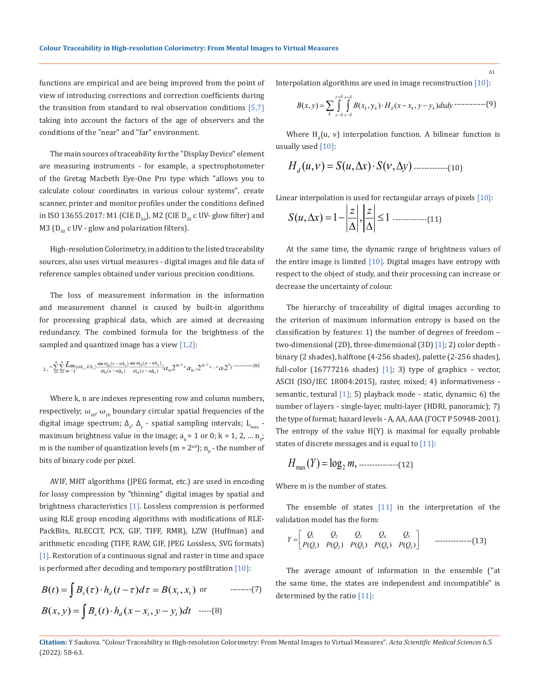functions are empirical and are being improved from the point of view of introducing corrections and correction coefficients during the transition from standard to real observation conditions  $[5,7]$ taking into account the factors of the age of observers and the conditions of the "near" and "far" environment.

The main sources of traceability for the "Display Device" element are measuring instruments - for example, a spectrophotometer of the Gretag Macbeth Eye-One Pro type which "allows you to calculate colour coordinates in various colour systems", create scanner, printer and monitor profiles under the conditions defined in ISO 13655:2017: M1 (CIE  $D_{50}$ ), M2 (CIE  $D_{50}$  c UV- glow filter) and M3 ( $D_{50}$  c UV - glow and polarization filters).

High-resolution Colorimetry, in addition to the listed traceability sources, also uses virtual measures - digital images and file data of reference samples obtained under various precision conditions.

The loss of measurement information in the information and measurement channel is caused by built-in algorithms for processing graphical data, which are aimed at decreasing redundancy. The combined formula for the brightness of the sampled and quantized image has a view  $[1,2]$ :

$$
L_{\epsilon} = \sum_{-\infty}^{\infty} \sum_{-\infty}^{\infty} \frac{L_{\max}}{m-1} (n\Delta_x, k\Delta_y) \frac{\sin \alpha_{3\delta}(x - n\Delta_x)}{\alpha_{3\delta}(x - n\Delta_x)} \frac{\sin \alpha_{3\delta}(y - n\Delta_y)}{\omega_{3\delta}(y - n\Delta_y)} (a_n 2^{n-1} + a_{n-1} 2^{n-2} + \dots + a_1 2^0), \dots \dots \dots \dots (6)
$$

Where k, n are indexes representing row and column numbers, respectively;  $\omega_{\rm vrb}$ ,  $\omega_{\rm vrb}$  boundary circular spatial frequencies of the digital image spectrum;  $\Delta_{x'}$ ,  $\Delta_{y}$  - spatial sampling intervals;  $L_{\text{max}}$  maximum brightness value in the image;  $a_k = 1$  or 0; k = 1, 2, ...  $n_0$ ; m is the number of quantization levels (m =  $2^{n}$ );  $n_{0}$  - the number of bits of binary code per pixel.

AVIF, MHT algorithms (JPEG format, etc.) are used in encoding for lossy compression by "thinning" digital images by spatial and brightness characteristics [1]. Lossless compression is performed using RLE group encoding algorithms with modifications of RLE-PackBits, RLECCIT, PCX, GIF, TIFF, RMR), LZW (Huffman) and arithmetic encoding (TIFF, RAW, GIF, JPEG Lossless, SVG formats) [1]. Restoration of a continuous signal and raster in time and space is performed after decoding and temporary postfiltration  $[10]$ :

$$
B(t) = \int B_s(\tau) \cdot h_d(t - \tau) d\tau = B(x_t, x_t) \text{ or } \text{ ......-(7)}
$$
  

$$
B(x, y) = \int B_s(t) \cdot h_d(x - x_t, y - y_t) dt \text{ ......-(8)}
$$

Interpolation algorithms are used in image reconstruction [10]:

$$
B(x, y) = \sum_{k} \int_{y-\delta}^{y+\delta} \int_{x-\delta}^{x+\delta} B(x_k, y_k) \cdot H_d(x - x_k, y - y_k) dx dy \cdots \cdots \cdots \cdots \cdots (9)
$$

Where  $H_d(u, v)$  interpolation function. A bilinear function is usually used [10]:

(, ) (, ) (, ) *H u Su x S y <sup>d</sup>* <sup>ν</sup> <sup>ν</sup> = ∆⋅ ∆ -------------(10)

Linear interpolation is used for rectangular arrays of pixels [10]:

(, ) 1 , 1 *z z Su x* ∆ =− ≤ ∆ ∆ -------------(11)

At the same time, the dynamic range of brightness values of the entire image is limited  $[10]$ . Digital images have entropy with respect to the object of study, and their processing can increase or decrease the uncertainty of colour.

The hierarchy of traceability of digital images according to the criterion of maximum information entropy is based on the classification by features: 1) the number of degrees of freedom – two-dimensional (2D), three-dimensional (3D) [1]; 2) color depth binary (2 shades), halftone (4-256 shades), palette (2-256 shades), full-color  $(16777216$  shades)  $[1]$ ; 3) type of graphics - vector, ASCII (ISO/IEC 18004:2015), raster, mixed; 4) informativeness semantic, textural [1]; 5) playback mode - static, dynamic; 6) the number of layers - single-layer, multi-layer (HDRI, panoramic); 7) the type of format; hazard levels - A, AA, AAA (ГОСТ Р 50948-2001). The entropy of the value H(Y) is maximal for equally probable states of discrete messages and is equal to [11]:

max <sup>2</sup> *HY m* ( ) log , = ---------------(12)

Where m is the number of states.

The ensemble of states  $[11]$  in the interpretation of the validation model has the form:

$$
Y = \begin{bmatrix} Q_1 & Q_2 & Q_3 & Q_4 & Q_5 \ P(Q_1) & P(Q_2) & P(Q_3) & P(Q_4) & P(Q_5) \end{bmatrix}
$$
 13)

The average amount of information in the ensemble ("at the same time, the states are independent and incompatible" is determined by the ratio [11]:

61

**Citation:** Y Saukova*.* "Colour Traceability in High-resolution Colorimetry: From Mental Images to Virtual Measures". *Acta Scientific Medical Sciences* 6.5 (2022): 58-63.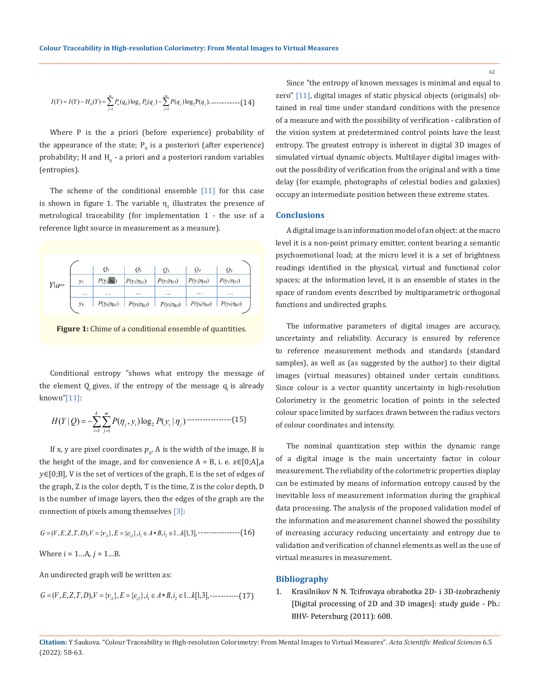$$
I(Y) = I(Y) - H_0(Y) = \sum_{j=1}^{m} P_o(q_0) \log_2 P_0(q_j) - \sum_{j=1}^{m} P(q_j) \log_2 P(q_j), \dots \dots \dots \dots \dots \tag{14}
$$

Where P is the a priori (before experience) probability of the appearance of the state;  $P_{0}$  is a posteriori (after experience) probability; H and  $H_{0}$  - a priori and a posteriori random variables (entropies).

The scheme of the conditional ensemble  $[11]$  for this case is shown in figure 1. The variable  $\eta_1$  illustrates the presence of metrological traceability (for implementation 1 - the use of a reference light source in measurement as a measure).

|        |       | $Q_l$              | $Q_2$              | $Q_3$              | $Q_4$              | Q5                 |
|--------|-------|--------------------|--------------------|--------------------|--------------------|--------------------|
| $Y q=$ | $y_1$ | $P(y_1 \eta_1)$    | $P(y_1 \eta_{12})$ | $P(y_1 \eta_{13})$ | $P(y_1 \eta_{14})$ | $P(yI \eta15)$     |
|        | .     | .                  | $\cdots$           | .                  | .                  | $\cdots$           |
|        | $y_k$ | $P(y_k \eta_{k1})$ | $P(y_k \eta_{k2})$ | $P(y_k \eta_{k3})$ | $P(y_k \eta_{k4})$ | $P(y_k \eta_{k5})$ |
|        |       |                    |                    |                    |                    |                    |

Figure 1: Chime of a conditional ensemble of quantities.

Conditional entropy "shows what entropy the message of the element  $Q$  gives, if the entropy of the message  $q_i$  is already known"[11]:

2 1 1 ( | ) ( , )log ( | ) *k m j i i j i j HY Q P y Py* η η = = = −∑∑ -----------------(15)

If x, y are pixel coordinates  $p_{k'}$  A is the width of the image, B is the height of the image, and for convenience  $A = B$ , i. e.  $x \in [0;A]$ , a ∈[0;B], V is the set of vertices of the graph, E is the set of edges of the graph, Z is the color depth, T is the time, Z is the color depth, D is the number of image layers, then the edges of the graph are the connection of pixels among themselves [3]:

1 21 2 ( , , , , ), { }, { }, , 1... [1,3], *G V EZT D V E e i A Bi k i i* = = = ∈∗ ∈ <sup>ν</sup> ----------------(16)

Where  $i = 1...A, j = 1...B$ .

An undirected graph will be written as:

1 21 2 ( , , , , ), { }, { }, , 1... [1,3], *G V EZT D V E e i A Bi k i i* = = = ∈∗ ∈ <sup>ν</sup> -----------(17)

Since "the entropy of known messages is minimal and equal to zero" [11], digital images of static physical objects (originals) obtained in real time under standard conditions with the presence of a measure and with the possibility of verification - calibration of the vision system at predetermined control points have the least entropy. The greatest entropy is inherent in digital 3D images of simulated virtual dynamic objects. Multilayer digital images without the possibility of verification from the original and with a time delay (for example, photographs of celestial bodies and galaxies) occupy an intermediate position between these extreme states.

#### **Conclusions**

A digital image is an information model of an object: at the macro level it is a non-point primary emitter, content bearing a semantic psychoemotional load; at the micro level it is a set of brightness readings identified in the physical, virtual and functional color spaces; at the information level, it is an ensemble of states in the space of random events described by multiparametric orthogonal functions and undirected graphs.

The informative parameters of digital images are accuracy, uncertainty and reliability. Accuracy is ensured by reference to reference measurement methods and standards (standard samples), as well as (as suggested by the author) to their digital images (virtual measures) obtained under certain conditions. Since colour is a vector quantity uncertainty in high-resolution Colorimetry is the geometric location of points in the selected colour space limited by surfaces drawn between the radius vectors of colour coordinates and intensity.

The nominal quantization step within the dynamic range of a digital image is the main uncertainty factor in colour measurement. The reliability of the colorimetric properties display can be estimated by means of information entropy caused by the inevitable loss of measurement information during the graphical data processing. The analysis of the proposed validation model of the information and measurement channel showed the possibility of increasing accuracy reducing uncertainty and entropy due to validation and verification of channel elements as well as the use of virtual measures in measurement.

#### **Bibliography**

1. Krasilnikov N N. Tcifrovaya obrabotka 2D- i 3D-izobrazheniy [Digital processing of 2D and 3D images]: study guide - Pb.: BHV- Petersburg (2011): 608.

**Citation:** Y Saukova*.* "Colour Traceability in High-resolution Colorimetry: From Mental Images to Virtual Measures". *Acta Scientific Medical Sciences* 6.5 (2022): 58-63.